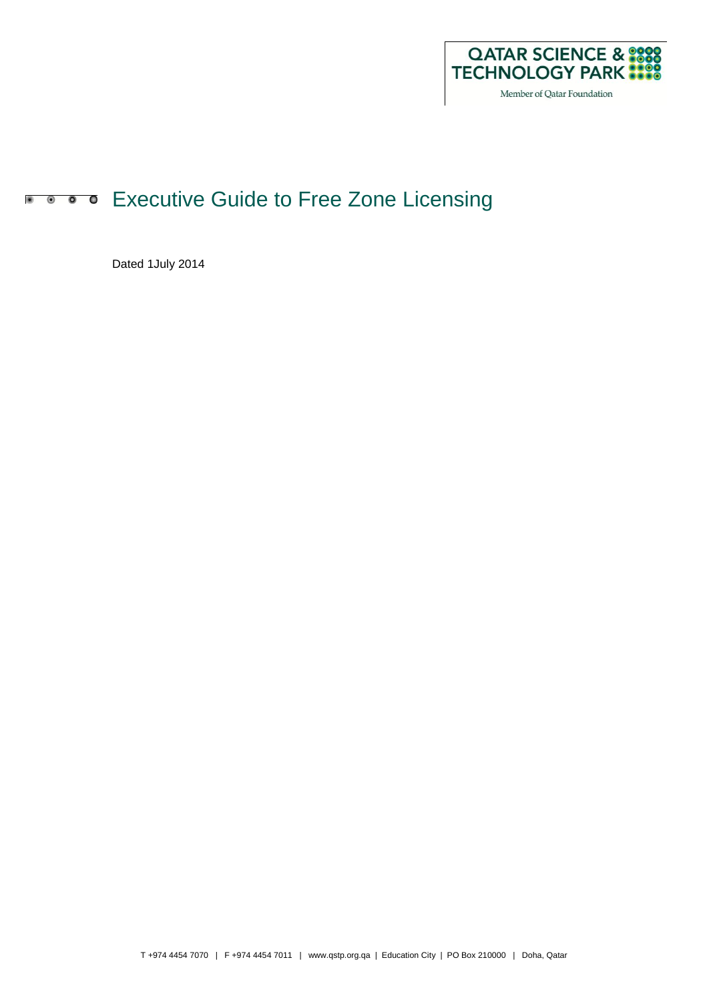

# **Executive Guide to Free Zone Licensing**

Dated 1July 2014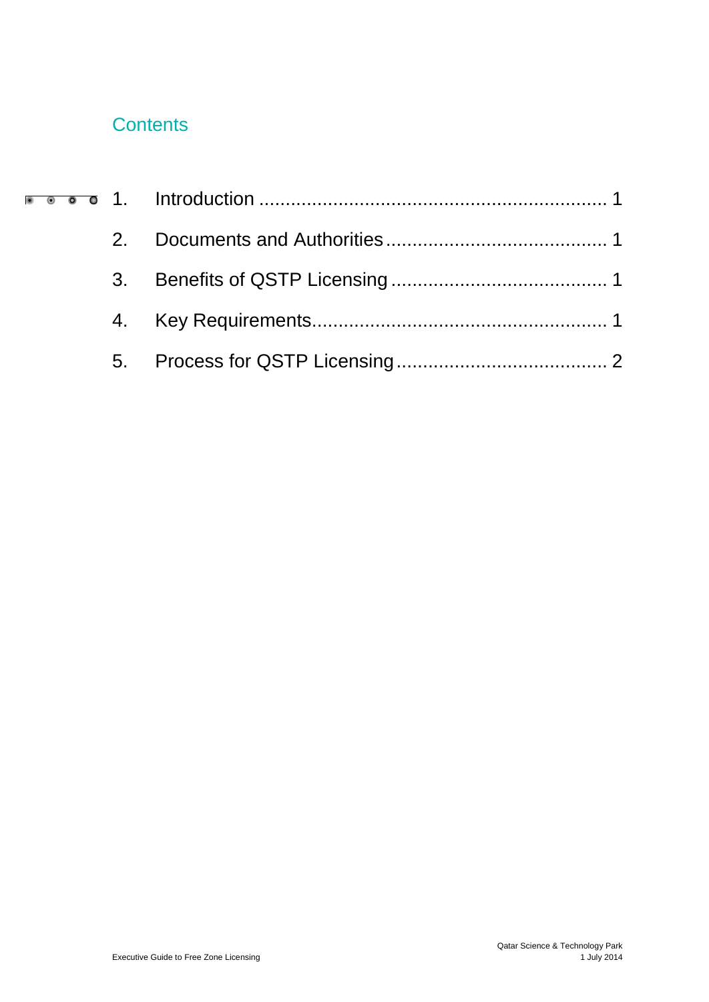# **Contents**

| 2. |  |
|----|--|
|    |  |
|    |  |
|    |  |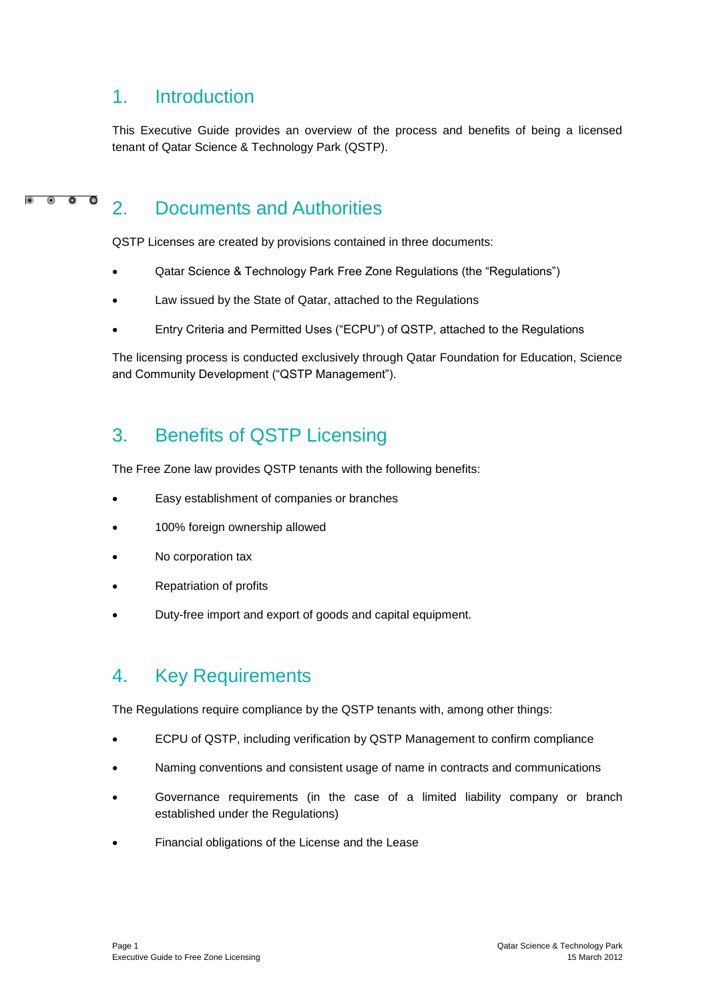#### <span id="page-2-0"></span>1. Introduction

This Executive Guide provides an overview of the process and benefits of being a licensed tenant of Qatar Science & Technology Park (QSTP).

#### $\bullet$  $\bullet$  $\overline{\mathbf{0}}$ 2. Documents and Authorities

<span id="page-2-1"></span>QSTP Licenses are created by provisions contained in three documents:

- Qatar Science & Technology Park Free Zone Regulations (the "Regulations")
- Law issued by the State of Qatar, attached to the Regulations
- Entry Criteria and Permitted Uses ("ECPU") of QSTP, attached to the Regulations

The licensing process is conducted exclusively through Qatar Foundation for Education, Science and Community Development ("QSTP Management").

### <span id="page-2-2"></span>3. Benefits of QSTP Licensing

The Free Zone law provides QSTP tenants with the following benefits:

- Easy establishment of companies or branches
- 100% foreign ownership allowed
- No corporation tax
- Repatriation of profits
- Duty-free import and export of goods and capital equipment.

#### <span id="page-2-3"></span>4. Key Requirements

The Regulations require compliance by the QSTP tenants with, among other things:

- ECPU of QSTP, including verification by QSTP Management to confirm compliance
- Naming conventions and consistent usage of name in contracts and communications
- Governance requirements (in the case of a limited liability company or branch established under the Regulations)
- Financial obligations of the License and the Lease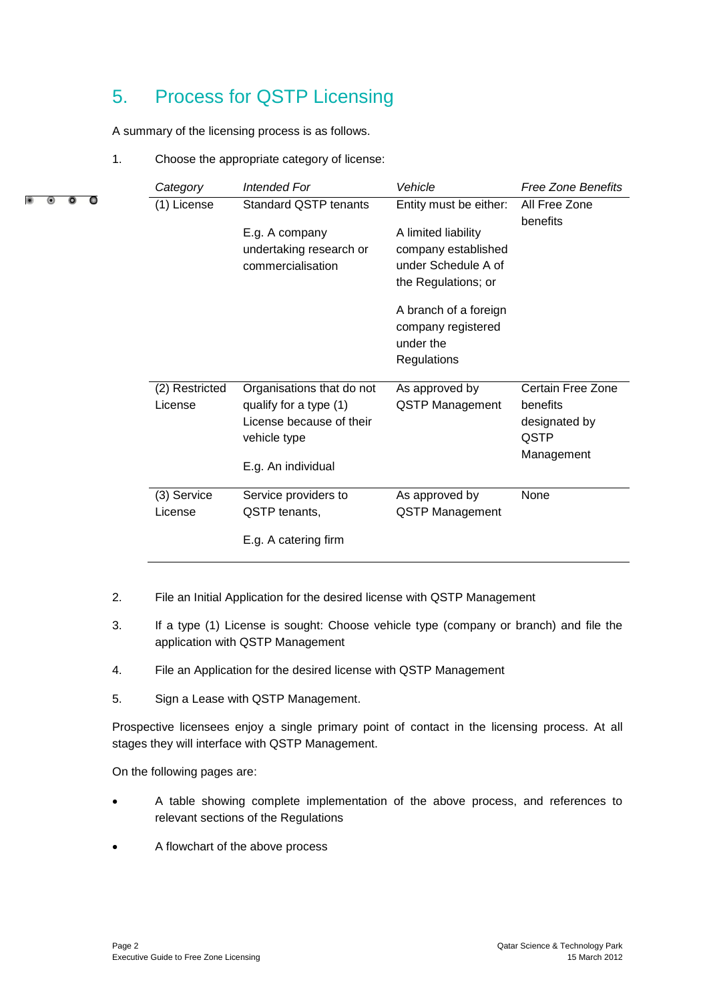## <span id="page-3-0"></span>5. Process for QSTP Licensing

A summary of the licensing process is as follows.

1. Choose the appropriate category of license:

 $\bullet$ 

|   | Category       | <b>Intended For</b>                                            | Vehicle                                                                                  | <b>Free Zone Benefits</b> |  |
|---|----------------|----------------------------------------------------------------|------------------------------------------------------------------------------------------|---------------------------|--|
| O | (1) License    | <b>Standard QSTP tenants</b>                                   | Entity must be either:                                                                   | All Free Zone<br>benefits |  |
|   |                | E.g. A company<br>undertaking research or<br>commercialisation | A limited liability<br>company established<br>under Schedule A of<br>the Regulations; or |                           |  |
|   |                |                                                                | A branch of a foreign<br>company registered<br>under the<br>Regulations                  |                           |  |
|   | (2) Restricted | Organisations that do not                                      | As approved by                                                                           | Certain Free Zone         |  |
|   | License        | qualify for a type (1)<br>License because of their             | <b>QSTP Management</b>                                                                   | benefits<br>designated by |  |
|   |                | vehicle type                                                   |                                                                                          | QSTP                      |  |
|   |                | E.g. An individual                                             |                                                                                          | Management                |  |
|   | (3) Service    | Service providers to                                           | As approved by                                                                           | None                      |  |
|   | License        | QSTP tenants,                                                  | <b>QSTP Management</b>                                                                   |                           |  |
|   |                | E.g. A catering firm                                           |                                                                                          |                           |  |

- 2. File an Initial Application for the desired license with QSTP Management
- 3. If a type (1) License is sought: Choose vehicle type (company or branch) and file the application with QSTP Management
- 4. File an Application for the desired license with QSTP Management
- 5. Sign a Lease with QSTP Management.

Prospective licensees enjoy a single primary point of contact in the licensing process. At all stages they will interface with QSTP Management.

On the following pages are:

- A table showing complete implementation of the above process, and references to relevant sections of the Regulations
- A flowchart of the above process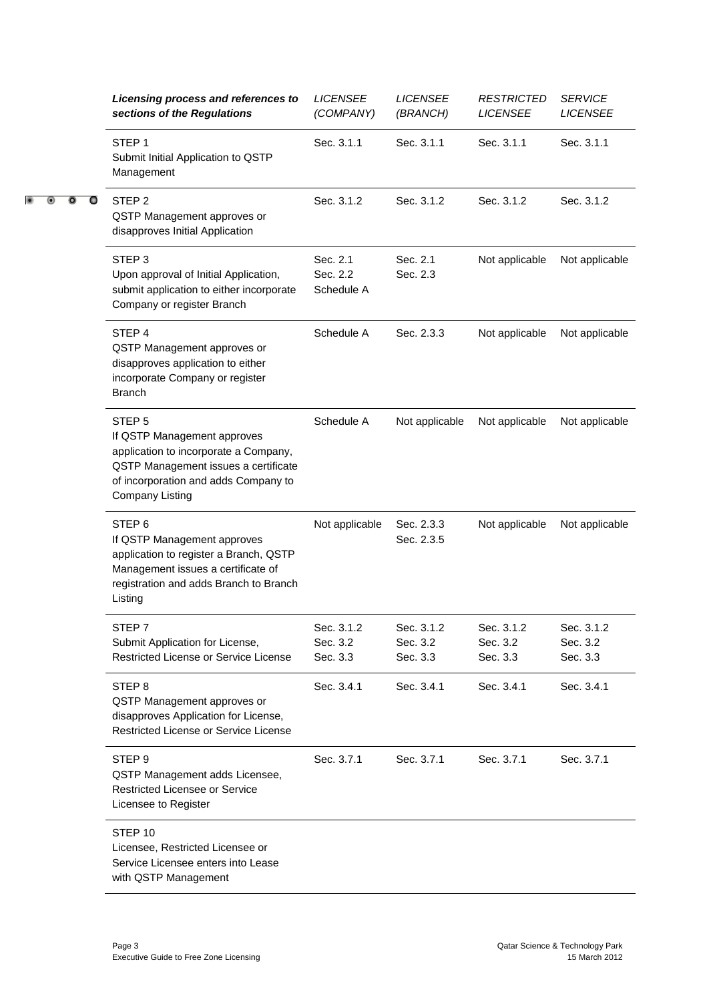|   | Licensing process and references to<br>sections of the Regulations                                                                                                                                  | <b>LICENSEE</b><br>(COMPANY)       | <b>LICENSEE</b><br>(BRANCH)        | <b>RESTRICTED</b><br><b>LICENSEE</b> | <b>SERVICE</b><br><b>LICENSEE</b>  |  |
|---|-----------------------------------------------------------------------------------------------------------------------------------------------------------------------------------------------------|------------------------------------|------------------------------------|--------------------------------------|------------------------------------|--|
|   | STEP <sub>1</sub><br>Submit Initial Application to QSTP<br>Management                                                                                                                               | Sec. 3.1.1                         | Sec. 3.1.1                         | Sec. 3.1.1                           | Sec. 3.1.1                         |  |
| O | STEP <sub>2</sub><br>QSTP Management approves or<br>disapproves Initial Application                                                                                                                 | Sec. 3.1.2                         | Sec. 3.1.2                         | Sec. 3.1.2                           | Sec. 3.1.2                         |  |
|   | STEP <sub>3</sub><br>Upon approval of Initial Application,<br>submit application to either incorporate<br>Company or register Branch                                                                | Sec. 2.1<br>Sec. 2.2<br>Schedule A | Sec. 2.1<br>Sec. 2.3               | Not applicable                       | Not applicable                     |  |
|   | STEP 4<br>QSTP Management approves or<br>disapproves application to either<br>incorporate Company or register<br><b>Branch</b>                                                                      | Schedule A                         | Sec. 2.3.3                         | Not applicable                       | Not applicable                     |  |
|   | STEP <sub>5</sub><br>If QSTP Management approves<br>application to incorporate a Company,<br>QSTP Management issues a certificate<br>of incorporation and adds Company to<br><b>Company Listing</b> | Schedule A                         | Not applicable                     | Not applicable                       | Not applicable                     |  |
|   | STEP <sub>6</sub><br>If QSTP Management approves<br>application to register a Branch, QSTP<br>Management issues a certificate of<br>registration and adds Branch to Branch<br>Listing               | Not applicable                     | Sec. 2.3.3<br>Sec. 2.3.5           | Not applicable                       | Not applicable                     |  |
|   | STEP 7<br>Submit Application for License,<br>Restricted License or Service License                                                                                                                  | Sec. 3.1.2<br>Sec. 3.2<br>Sec. 3.3 | Sec. 3.1.2<br>Sec. 3.2<br>Sec. 3.3 | Sec. 3.1.2<br>Sec. 3.2<br>Sec. 3.3   | Sec. 3.1.2<br>Sec. 3.2<br>Sec. 3.3 |  |
|   | STEP <sub>8</sub><br>QSTP Management approves or<br>disapproves Application for License,<br>Restricted License or Service License                                                                   | Sec. 3.4.1                         | Sec. 3.4.1                         | Sec. 3.4.1                           | Sec. 3.4.1                         |  |
|   | STEP <sub>9</sub><br>QSTP Management adds Licensee,<br>Restricted Licensee or Service<br>Licensee to Register                                                                                       | Sec. 3.7.1                         | Sec. 3.7.1                         | Sec. 3.7.1                           | Sec. 3.7.1                         |  |
|   | STEP <sub>10</sub><br>Licensee, Restricted Licensee or<br>Service Licensee enters into Lease<br>with QSTP Management                                                                                |                                    |                                    |                                      |                                    |  |